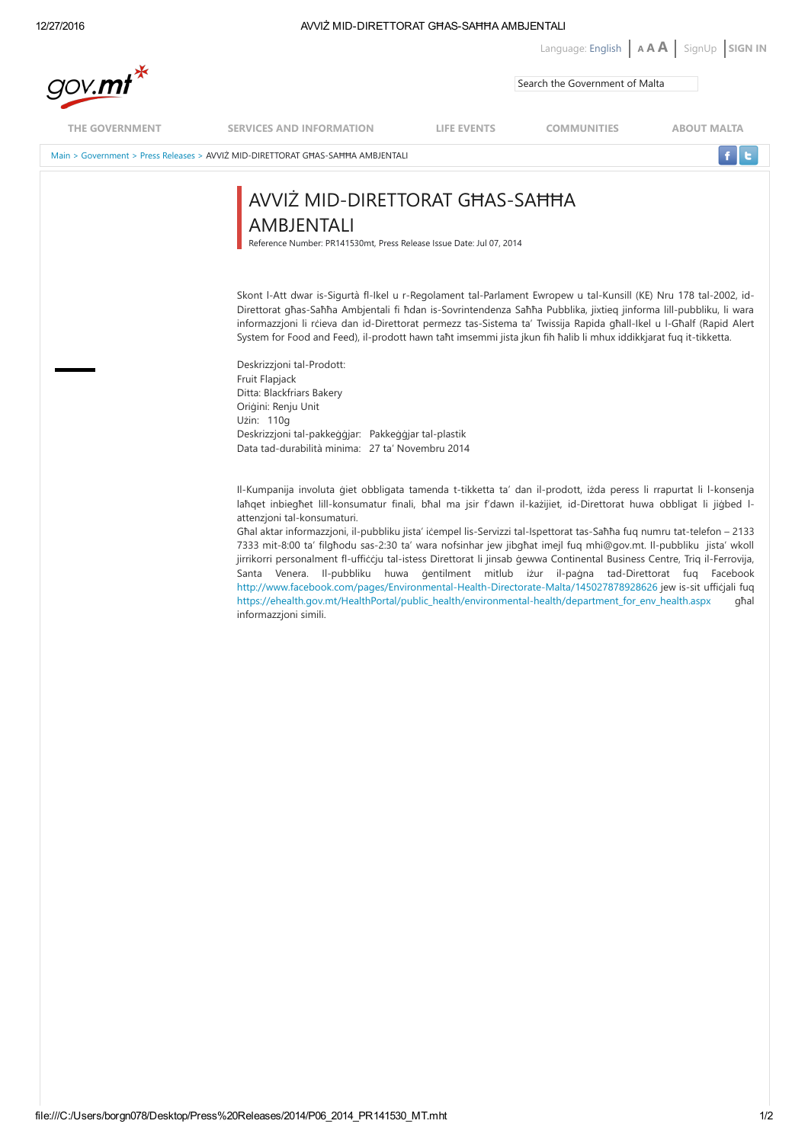# 12/27/2016 **AVVIŻ MID-DIRETTORAT GĦAS-SAĦĦA AMBJENTALI**

Language: English AAA [SignUp](https://mygov.mt/PORTAL/webforms/howdoigetaccesstomygov.aspx) SIGN IN

| gov.mt*               |                                                                                                                                                                                                                                                                                                                                                                                                                                                                                                                                                                                                              |                    | <b>Language.</b> Linguar   <b>AAA</b>   Jignop   Jian Int<br>Search the Government of Malta |                    |
|-----------------------|--------------------------------------------------------------------------------------------------------------------------------------------------------------------------------------------------------------------------------------------------------------------------------------------------------------------------------------------------------------------------------------------------------------------------------------------------------------------------------------------------------------------------------------------------------------------------------------------------------------|--------------------|---------------------------------------------------------------------------------------------|--------------------|
| <b>THE GOVERNMENT</b> | <b>SERVICES AND INFORMATION</b>                                                                                                                                                                                                                                                                                                                                                                                                                                                                                                                                                                              | <b>LIFE EVENTS</b> | <b>COMMUNITIES</b>                                                                          | <b>ABOUT MALTA</b> |
|                       | Main > Government > Press Releases > AVVIZ MID-DIRETTORAT GHAS-SAHHA AMBJENTALI                                                                                                                                                                                                                                                                                                                                                                                                                                                                                                                              |                    |                                                                                             |                    |
|                       | AVVIZ MID-DIRETTORAT GHAS-SAHHA<br>AMBJENTALI<br>Reference Number: PR141530mt, Press Release Issue Date: Jul 07, 2014<br>Skont I-Att dwar is-Sigurtà fl-Ikel u r-Regolament tal-Parlament Ewropew u tal-Kunsill (KE) Nru 178 tal-2002, id-<br>Direttorat għas-Saħħa Ambjentali fi ħdan is-Sovrintendenza Saħħa Pubblika, jixtieg jinforma lill-pubbliku, li wara<br>informazzjoni li rcieva dan id-Direttorat permezz tas-Sistema ta' Twissija Rapida għall-Ikel u l-Għalf (Rapid Alert<br>System for Food and Feed), il-prodott hawn taht imsemmi jista jkun fih halib li mhux iddikkjarat fug it-tikketta. |                    |                                                                                             |                    |
|                       |                                                                                                                                                                                                                                                                                                                                                                                                                                                                                                                                                                                                              |                    |                                                                                             |                    |
|                       | Deskrizzjoni tal-Prodott:<br>Fruit Flapjack<br>Ditta: Blackfriars Bakery                                                                                                                                                                                                                                                                                                                                                                                                                                                                                                                                     |                    |                                                                                             |                    |

Oriġini: Renju Unit Użin: 110g Deskrizzjoni tal‐pakkeġġjar: Pakkeġġjar tal‐plastik Data tad‐durabilità minima: 27 ta' Novembru 2014

Il‐Kumpanija involuta ġiet obbligata tamenda t‐tikketta ta' dan il‐prodott, iżda peress li rrapurtat li l‐konsenja laħqet inbiegħet lill‐konsumatur finali, bħal ma jsir f'dawn il‐każijiet, id‐Direttorat huwa obbligat li jiġbed l‐ attenzjoni tal‐konsumaturi.

Għal aktar informazzjoni, il‐pubbliku jista' iċempel lis‐Servizzi tal‐Ispettorat tas‐Saħħa fuq numru tat‐telefon – 2133 7333 mit‐8:00 ta' filgħodu sas‐2:30 ta' wara nofsinhar jew jibgħat imejl fuq mhi@gov.mt. Il‐pubbliku jista' wkoll jirrikorri personalment fl‐uffiċċju tal‐istess Direttorat li jinsab ġewwa Continental Business Centre, Triq il‐Ferrovija, Santa Venera. Il‐pubbliku huwa ġentilment mitlub iżur il‐paġna tad‐Direttorat fuq Facebook http://www.facebook.com/pages/Environmental-Health-Directorate-Malta/145027878928626 jew is-sit ufficjali fug [https://ehealth.gov.mt/HealthPortal/public\\_health/environmental‐health/department\\_for\\_env\\_health.aspx](https://ehealth.gov.mt/HealthPortal/public_health/environmental-health/department_for_env_health.aspx) għal informazzjoni simili.